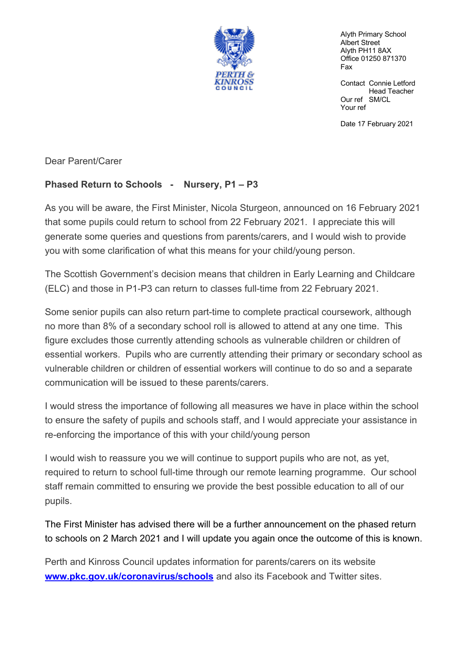

Alyth Primary School Albert Street Alyth PH11 8AX Office 01250 871370 Fax

Contact Connie Letford Head Teacher Our ref SM/CL Your ref

Date 17 February 2021

Dear Parent/Carer

## **Phased Return to Schools - Nursery, P1 – P3**

As you will be aware, the First Minister, Nicola Sturgeon, announced on 16 February 2021 that some pupils could return to school from 22 February 2021. I appreciate this will generate some queries and questions from parents/carers, and I would wish to provide you with some clarification of what this means for your child/young person.

The Scottish Government's decision means that children in Early Learning and Childcare (ELC) and those in P1-P3 can return to classes full-time from 22 February 2021.

Some senior pupils can also return part-time to complete practical coursework, although no more than 8% of a secondary school roll is allowed to attend at any one time. This figure excludes those currently attending schools as vulnerable children or children of essential workers. Pupils who are currently attending their primary or secondary school as vulnerable children or children of essential workers will continue to do so and a separate communication will be issued to these parents/carers.

I would stress the importance of following all measures we have in place within the school to ensure the safety of pupils and schools staff, and I would appreciate your assistance in re-enforcing the importance of this with your child/young person

I would wish to reassure you we will continue to support pupils who are not, as yet, required to return to school full-time through our remote learning programme. Our school staff remain committed to ensuring we provide the best possible education to all of our pupils.

The First Minister has advised there will be a further announcement on the phased return to schools on 2 March 2021 and I will update you again once the outcome of this is known.

Perth and Kinross Council updates information for parents/carers on its website **www.pkc.gov.uk/coronavirus/schools** and also its Facebook and Twitter sites.